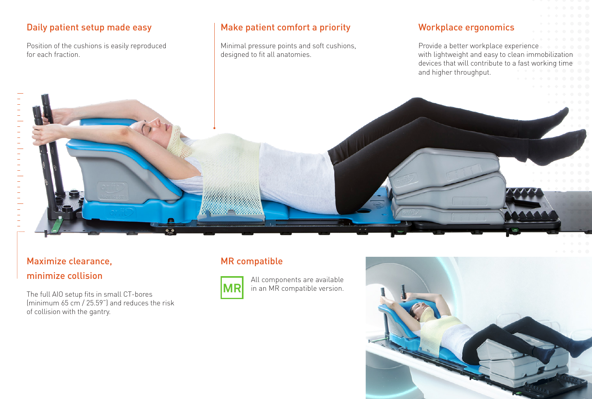## Daily patient setup made easy

Position of the cushions is easily reproduced for each fraction.

#### Make patient comfort a priority

Minimal pressure points and soft cushions, designed to fit all anatomies.

#### Workplace ergonomics

Provide a better workplace experience with lightweight and easy to clean immobilization devices that will contribute to a fast working time and higher throughput.

## Maximize clearance, minimize collision

 $\frac{1}{2}$ 

 $\begin{bmatrix} 1 & 1 & 1 & 1 \\ 1 & 1 & 1 & 1 \end{bmatrix}$ 

The full AIO setup fits in small CT-bores (minimum 65 cm / 25.59") and reduces the risk of collision with the gantry.

## MR compatible



All components are available in an MR compatible version.